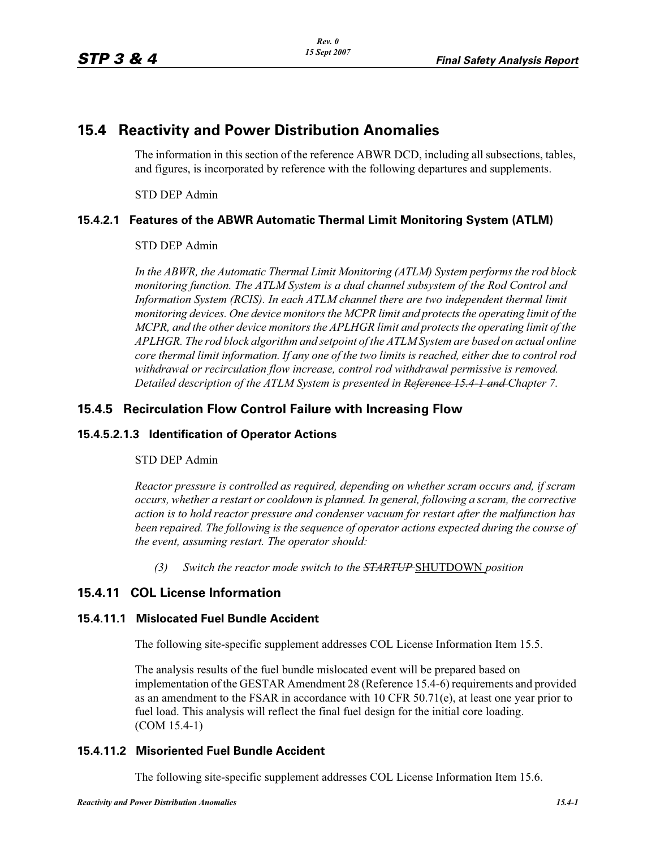# **15.4 Reactivity and Power Distribution Anomalies**

The information in this section of the reference ABWR DCD, including all subsections, tables, and figures, is incorporated by reference with the following departures and supplements.

STD DEP Admin

### **15.4.2.1 Features of the ABWR Automatic Thermal Limit Monitoring System (ATLM)**

#### STD DEP Admin

*In the ABWR, the Automatic Thermal Limit Monitoring (ATLM) System performs the rod block monitoring function. The ATLM System is a dual channel subsystem of the Rod Control and Information System (RCIS). In each ATLM channel there are two independent thermal limit monitoring devices. One device monitors the MCPR limit and protects the operating limit of the MCPR, and the other device monitors the APLHGR limit and protects the operating limit of the APLHGR. The rod block algorithm and setpoint of the ATLM System are based on actual online core thermal limit information. If any one of the two limits is reached, either due to control rod withdrawal or recirculation flow increase, control rod withdrawal permissive is removed. Detailed description of the ATLM System is presented in Reference 15.4-1 and Chapter 7.*

## **15.4.5 Recirculation Flow Control Failure with Increasing Flow**

#### **15.4.5.2.1.3 Identification of Operator Actions**

#### STD DEP Admin

*Reactor pressure is controlled as required, depending on whether scram occurs and, if scram occurs, whether a restart or cooldown is planned. In general, following a scram, the corrective action is to hold reactor pressure and condenser vacuum for restart after the malfunction has been repaired. The following is the sequence of operator actions expected during the course of the event, assuming restart. The operator should:*

*(3) Switch the reactor mode switch to the STARTUP* SHUTDOWN *position*

# **15.4.11 COL License Information**

### **15.4.11.1 Mislocated Fuel Bundle Accident**

The following site-specific supplement addresses COL License Information Item 15.5.

The analysis results of the fuel bundle mislocated event will be prepared based on implementation of the GESTAR Amendment 28 (Reference 15.4-6) requirements and provided as an amendment to the FSAR in accordance with 10 CFR 50.71(e), at least one year prior to fuel load. This analysis will reflect the final fuel design for the initial core loading. (COM 15.4-1)

#### **15.4.11.2 Misoriented Fuel Bundle Accident**

The following site-specific supplement addresses COL License Information Item 15.6.